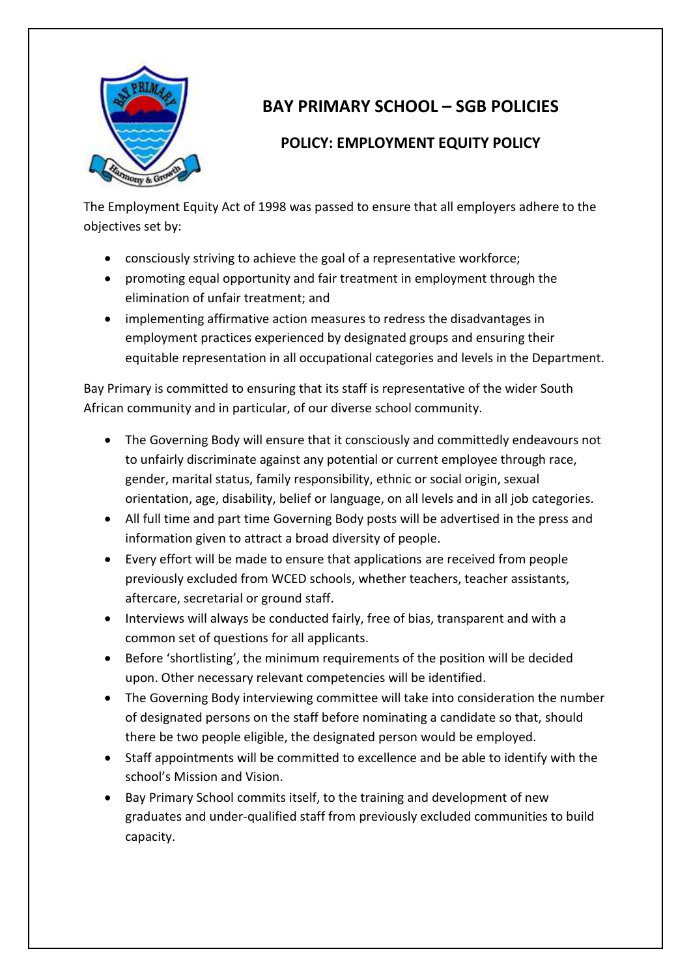

## **BAY PRIMARY SCHOOL – SGB POLICIES**

## **POLICY: EMPLOYMENT EQUITY POLICY**

The Employment Equity Act of 1998 was passed to ensure that all employers adhere to the objectives set by:

- consciously striving to achieve the goal of a representative workforce;
- promoting equal opportunity and fair treatment in employment through the elimination of unfair treatment; and
- implementing affirmative action measures to redress the disadvantages in employment practices experienced by designated groups and ensuring their equitable representation in all occupational categories and levels in the Department.

Bay Primary is committed to ensuring that its staff is representative of the wider South African community and in particular, of our diverse school community.

- The Governing Body will ensure that it consciously and committedly endeavours not to unfairly discriminate against any potential or current employee through race, gender, marital status, family responsibility, ethnic or social origin, sexual orientation, age, disability, belief or language, on all levels and in all job categories.
- All full time and part time Governing Body posts will be advertised in the press and information given to attract a broad diversity of people.
- Every effort will be made to ensure that applications are received from people previously excluded from WCED schools, whether teachers, teacher assistants, aftercare, secretarial or ground staff.
- Interviews will always be conducted fairly, free of bias, transparent and with a common set of questions for all applicants.
- Before 'shortlisting', the minimum requirements of the position will be decided upon. Other necessary relevant competencies will be identified.
- The Governing Body interviewing committee will take into consideration the number of designated persons on the staff before nominating a candidate so that, should there be two people eligible, the designated person would be employed.
- Staff appointments will be committed to excellence and be able to identify with the school's Mission and Vision.
- Bay Primary School commits itself, to the training and development of new graduates and under-qualified staff from previously excluded communities to build capacity.